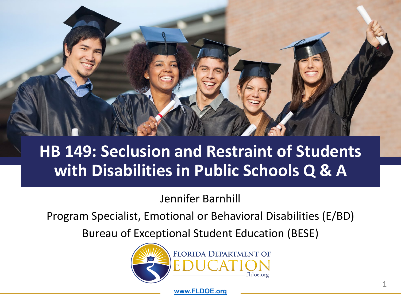

#### **HB 149: Seclusion and Restraint of Students with Disabilities in Public Schools Q & A**

Jennifer Barnhill

Program Specialist, Emotional or Behavioral Disabilities (E/BD)

Bureau of Exceptional Student Education (BESE)



**[www.FLDOE.org](http://www.fldoe.org/)**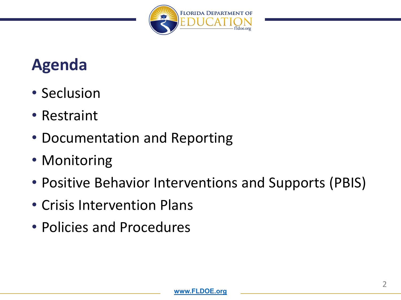

#### **Agenda**

- Seclusion
- Restraint
- Documentation and Reporting
- Monitoring
- Positive Behavior Interventions and Supports (PBIS)
- Crisis Intervention Plans
- Policies and Procedures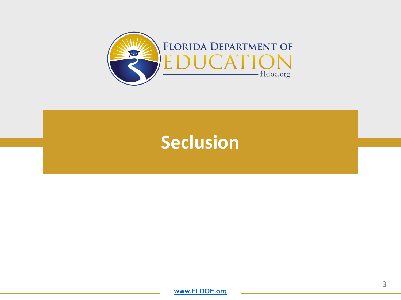

# **Seclusion**

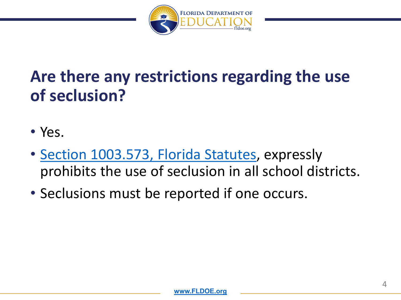

# **Are there any restrictions regarding the use of seclusion?**

- Yes.
- [Section 1003.573, Florida Statutes](https://m.flsenate.gov/statutes/1003.573), expressly prohibits the use of seclusion in all school districts.
- Seclusions must be reported if one occurs.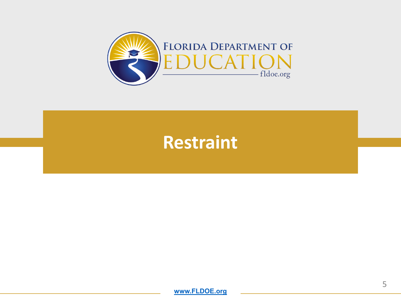

#### **Restraint**

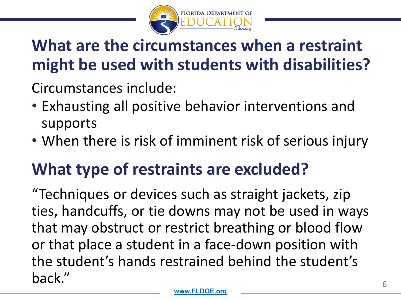

# **What are the circumstances when a restraint might be used with students with disabilities?**

Circumstances include:

- Exhausting all positive behavior interventions and supports
- When there is risk of imminent risk of serious injury

# **What type of restraints are excluded?**

"Techniques or devices such as straight jackets, zip ties, handcuffs, or tie downs may not be used in ways that may obstruct or restrict breathing or blood flow or that place a student in a face-down position with the student's hands restrained behind the student's back."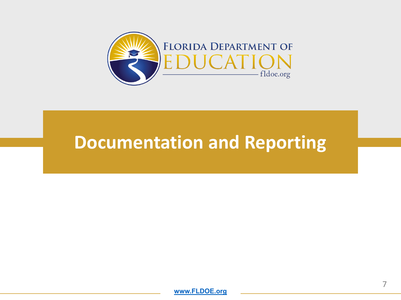

## **Documentation and Reporting**

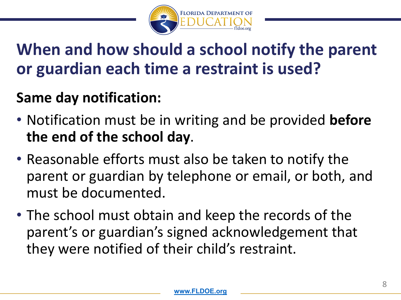

# **When and how should a school notify the parent or guardian each time a restraint is used?**

#### **Same day notification:**

- Notification must be in writing and be provided **before the end of the school day**.
- Reasonable efforts must also be taken to notify the parent or guardian by telephone or email, or both, and must be documented.
- The school must obtain and keep the records of the parent's or guardian's signed acknowledgement that they were notified of their child's restraint.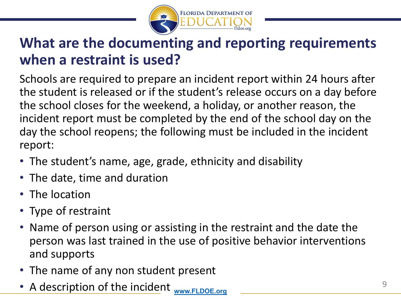

#### **What are the documenting and reporting requirements when a restraint is used?**

Schools are required to prepare an incident report within 24 hours after the student is released or if the student's release occurs on a day before the school closes for the weekend, a holiday, or another reason, the incident report must be completed by the end of the school day on the day the school reopens; the following must be included in the incident report:

- The student's name, age, grade, ethnicity and disability
- The date, time and duration
- The location
- Type of restraint
- Name of person using or assisting in the restraint and the date the person was last trained in the use of positive behavior interventions and supports
- The name of any non student present
- **A description of the incident WWW.FLDOE.org**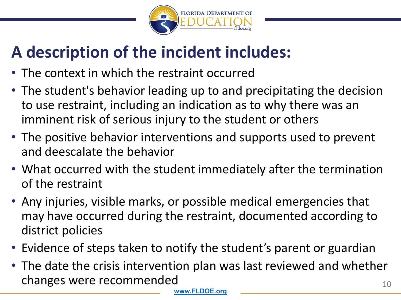

# **A description of the incident includes:**

- The context in which the restraint occurred
- The student's behavior leading up to and precipitating the decision to use restraint, including an indication as to why there was an imminent risk of serious injury to the student or others
- The positive behavior interventions and supports used to prevent and deescalate the behavior
- What occurred with the student immediately after the termination of the restraint
- Any injuries, visible marks, or possible medical emergencies that may have occurred during the restraint, documented according to district policies
- Evidence of steps taken to notify the student's parent or guardian
- 10 • The date the crisis intervention plan was last reviewed and whether changes were recommended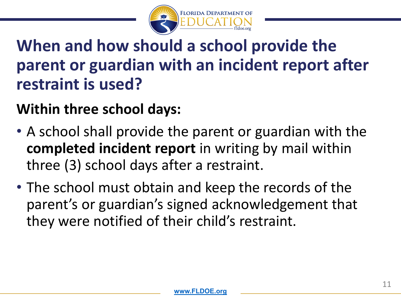

# **When and how should a school provide the parent or guardian with an incident report after restraint is used?**

#### **Within three school days:**

- A school shall provide the parent or guardian with the **completed incident report** in writing by mail within three (3) school days after a restraint.
- The school must obtain and keep the records of the parent's or guardian's signed acknowledgement that they were notified of their child's restraint.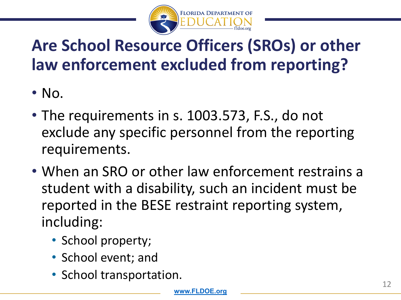

# **Are School Resource Officers (SROs) or other law enforcement excluded from reporting?**

- No.
- The requirements in s. 1003.573, F.S., do not exclude any specific personnel from the reporting requirements.
- When an SRO or other law enforcement restrains a student with a disability, such an incident must be reported in the BESE restraint reporting system, including:
	- School property;
	- School event; and
	- School transportation.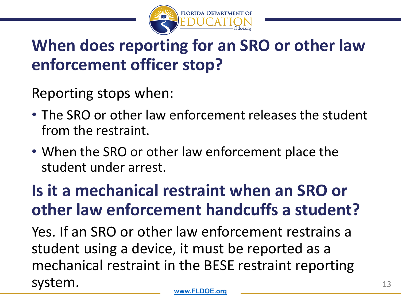

# **When does reporting for an SRO or other law enforcement officer stop?**

Reporting stops when:

- The SRO or other law enforcement releases the student from the restraint.
- When the SRO or other law enforcement place the student under arrest.

# **Is it a mechanical restraint when an SRO or other law enforcement handcuffs a student?**

Yes. If an SRO or other law enforcement restrains a student using a device, it must be reported as a mechanical restraint in the BESE restraint reporting system.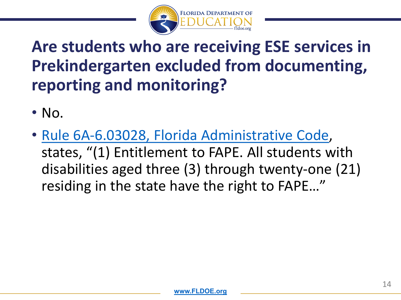

# **Are students who are receiving ESE services in Prekindergarten excluded from documenting, reporting and monitoring?**

- $\cdot$  No.
- [Rule 6A-6.03028, Florida Administrative Code,](https://www.flrules.org/gateway/ruleNo.asp?id=6A-6.03028) states, "(1) Entitlement to FAPE. All students with disabilities aged three (3) through twenty-one (21) residing in the state have the right to FAPE…"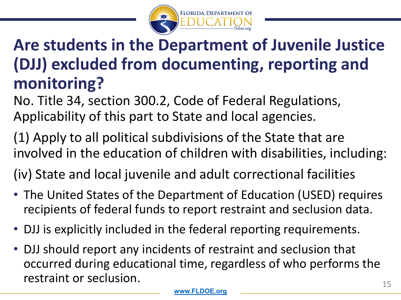

# **Are students in the Department of Juvenile Justice (DJJ) excluded from documenting, reporting and monitoring?**

- No. Title 34, section 300.2, Code of Federal Regulations, Applicability of this part to State and local agencies.
- (1) Apply to all political subdivisions of the State that are involved in the education of children with disabilities, including:
- (iv) State and local juvenile and adult correctional facilities
- The United States of the Department of Education (USED) requires recipients of federal funds to report restraint and seclusion data.
- DJJ is explicitly included in the federal reporting requirements.
- DJJ should report any incidents of restraint and seclusion that occurred during educational time, regardless of who performs the restraint or seclusion.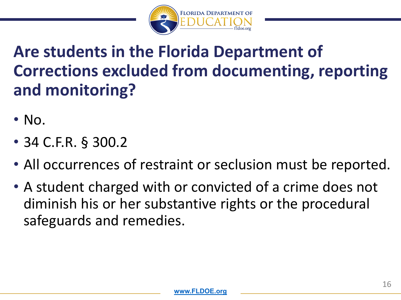

# **Are students in the Florida Department of Corrections excluded from documenting, reporting and monitoring?**

- $\cdot$  No.
- 34 C.F.R. § 300.2
- All occurrences of restraint or seclusion must be reported.
- A student charged with or convicted of a crime does not diminish his or her substantive rights or the procedural safeguards and remedies.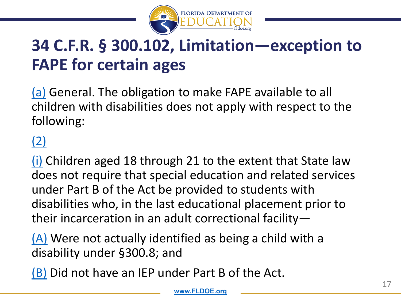

# **34 C.F.R. § 300.102, Limitation—exception to FAPE for certain ages**

[\(a\)](https://sites.ed.gov/idea/regs/b/b/300.102/a) General. The obligation to make FAPE available to all children with disabilities does not apply with respect to the following:

#### [\(2\)](https://sites.ed.gov/idea/regs/b/b/300.102/a/2)

[\(i\)](https://sites.ed.gov/idea/regs/b/b/300.102/a/2/i) Children aged 18 through 21 to the extent that State law does not require that special education and related services under Part B of the Act be provided to students with disabilities who, in the last educational placement prior to their incarceration in an adult correctional facility—

[\(A\)](https://sites.ed.gov/idea/regs/b/b/300.102/a/2/i/a) Were not actually identified as being a child with a disability under §300.8; and

[\(B\)](https://sites.ed.gov/idea/regs/b/b/300.102/a/2/i/b) Did not have an IEP under Part B of the Act.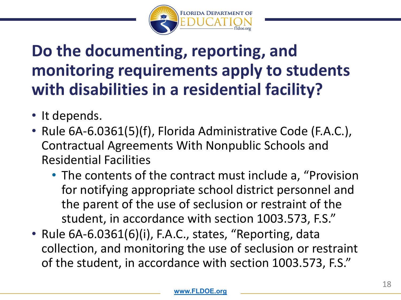

# **Do the documenting, reporting, and monitoring requirements apply to students with disabilities in a residential facility?**

- It depends.
- Rule 6A-6.0361(5)(f), Florida Administrative Code (F.A.C.), Contractual Agreements With Nonpublic Schools and Residential Facilities
	- The contents of the contract must include a, "Provision for notifying appropriate school district personnel and the parent of the use of seclusion or restraint of the student, in accordance with section 1003.573, F.S."
- Rule 6A-6.0361(6)(i), F.A.C., states, "Reporting, data collection, and monitoring the use of seclusion or restraint of the student, in accordance with section 1003.573, F.S."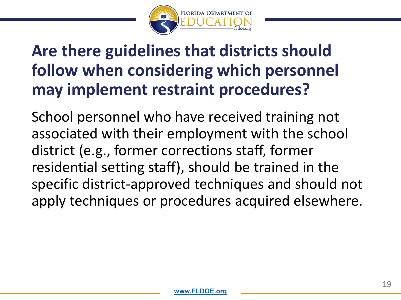

# **Are there guidelines that districts should follow when considering which personnel may implement restraint procedures?**

School personnel who have received training not associated with their employment with the school district (e.g., former corrections staff, former residential setting staff), should be trained in the specific district-approved techniques and should not apply techniques or procedures acquired elsewhere.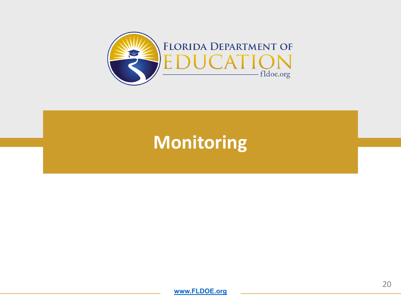

# **Monitoring**

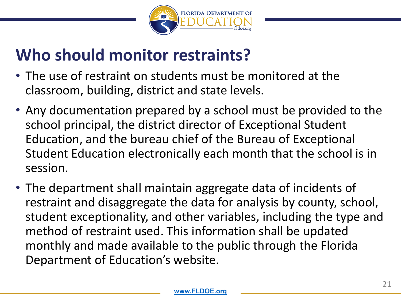

# **Who should monitor restraints?**

- The use of restraint on students must be monitored at the classroom, building, district and state levels.
- Any documentation prepared by a school must be provided to the school principal, the district director of Exceptional Student Education, and the bureau chief of the Bureau of Exceptional Student Education electronically each month that the school is in session.
- The department shall maintain aggregate data of incidents of restraint and disaggregate the data for analysis by county, school, student exceptionality, and other variables, including the type and method of restraint used. This information shall be updated monthly and made available to the public through the Florida Department of Education's website.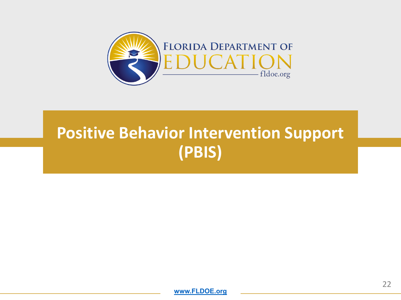

# **Positive Behavior Intervention Support (PBIS)**

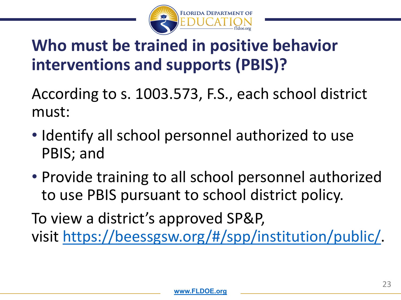

# **Who must be trained in positive behavior interventions and supports (PBIS)?**

According to s. 1003.573, F.S., each school district must:

- Identify all school personnel authorized to use PBIS; and
- Provide training to all school personnel authorized to use PBIS pursuant to school district policy.

To view a district's approved SP&P, visit [https://beessgsw.org/#/spp/institution/public/.](https://beessgsw.org/#/spp/institution/public/)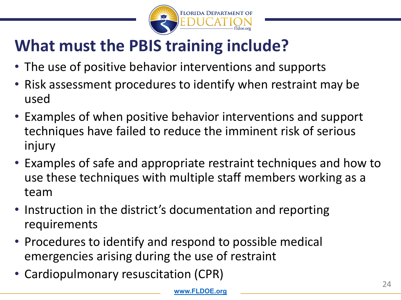

# **What must the PBIS training include?**

- The use of positive behavior interventions and supports
- Risk assessment procedures to identify when restraint may be used
- Examples of when positive behavior interventions and support techniques have failed to reduce the imminent risk of serious injury
- Examples of safe and appropriate restraint techniques and how to use these techniques with multiple staff members working as a team
- Instruction in the district's documentation and reporting requirements
- Procedures to identify and respond to possible medical emergencies arising during the use of restraint
- Cardiopulmonary resuscitation (CPR)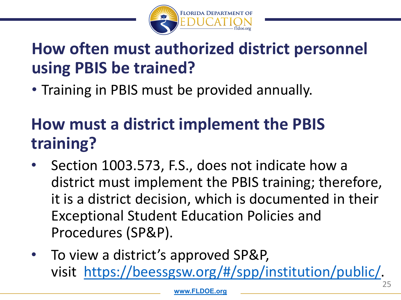

# **How often must authorized district personnel using PBIS be trained?**

• Training in PBIS must be provided annually.

# **How must a district implement the PBIS training?**

- Section 1003.573, F.S., does not indicate how a district must implement the PBIS training; therefore, it is a district decision, which is documented in their Exceptional Student Education Policies and Procedures (SP&P).
- To view a district's approved SP&P, visit [https://beessgsw.org/#/spp/institution/public/.](https://beessgsw.org/#/spp/institution/public/)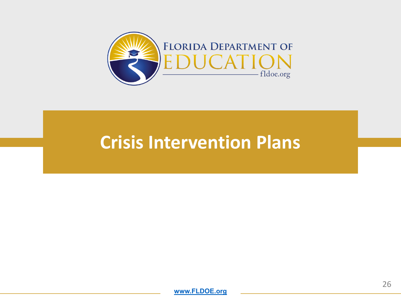

#### **Crisis Intervention Plans**

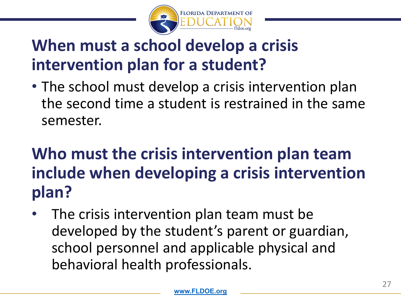

# **When must a school develop a crisis intervention plan for a student?**

• The school must develop a crisis intervention plan the second time a student is restrained in the same semester.

# **Who must the crisis intervention plan team include when developing a crisis intervention plan?**

The crisis intervention plan team must be developed by the student's parent or guardian, school personnel and applicable physical and behavioral health professionals.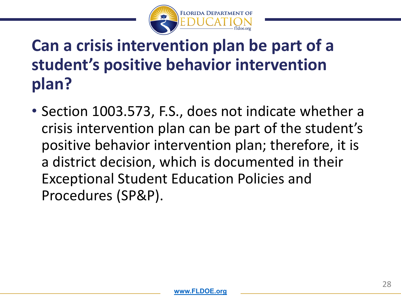

# **Can a crisis intervention plan be part of a student's positive behavior intervention plan?**

• Section 1003.573, F.S., does not indicate whether a crisis intervention plan can be part of the student's positive behavior intervention plan; therefore, it is a district decision, which is documented in their Exceptional Student Education Policies and Procedures (SP&P).

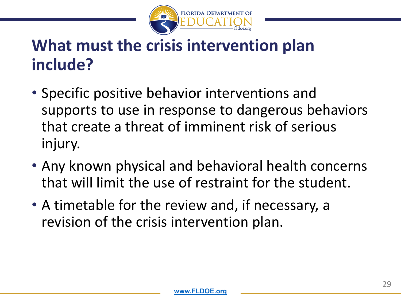

# **What must the crisis intervention plan include?**

- Specific positive behavior interventions and supports to use in response to dangerous behaviors that create a threat of imminent risk of serious injury.
- Any known physical and behavioral health concerns that will limit the use of restraint for the student.
- A timetable for the review and, if necessary, a revision of the crisis intervention plan.

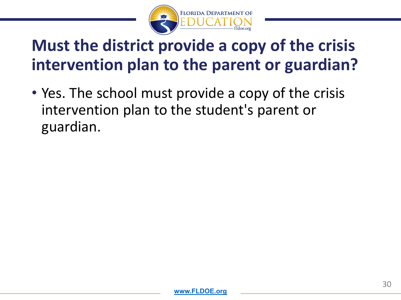

# **Must the district provide a copy of the crisis intervention plan to the parent or guardian?**

• Yes. The school must provide a copy of the crisis intervention plan to the student's parent or guardian.

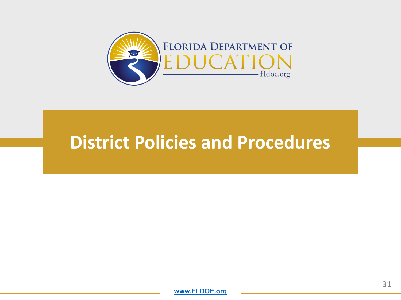

#### **District Policies and Procedures**

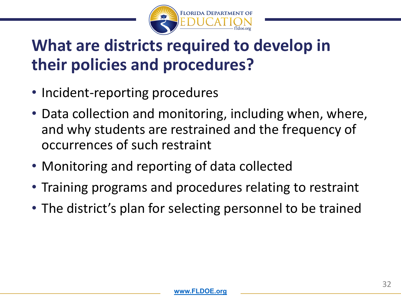

# **What are districts required to develop in their policies and procedures?**

- Incident-reporting procedures
- Data collection and monitoring, including when, where, and why students are restrained and the frequency of occurrences of such restraint
- Monitoring and reporting of data collected
- Training programs and procedures relating to restraint
- The district's plan for selecting personnel to be trained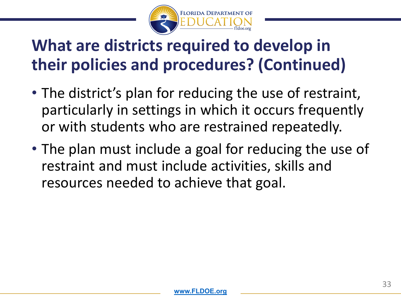

# **What are districts required to develop in their policies and procedures? (Continued)**

- The district's plan for reducing the use of restraint, particularly in settings in which it occurs frequently or with students who are restrained repeatedly.
- The plan must include a goal for reducing the use of restraint and must include activities, skills and resources needed to achieve that goal.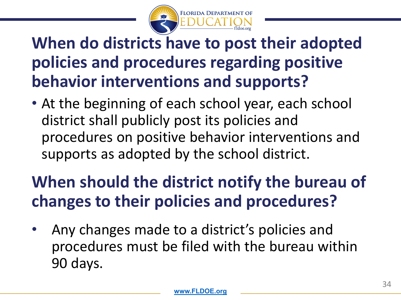

# **When do districts have to post their adopted policies and procedures regarding positive behavior interventions and supports?**

• At the beginning of each school year, each school district shall publicly post its policies and procedures on positive behavior interventions and supports as adopted by the school district.

# **When should the district notify the bureau of changes to their policies and procedures?**

• Any changes made to a district's policies and procedures must be filed with the bureau within 90 days.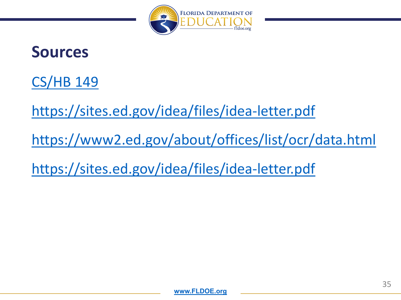

#### **Sources**

[CS/HB 149](https://www.myfloridahouse.gov/Sections/Documents/loaddoc.aspx?FileName=_h0149er.docx&DocumentType=Bill&BillNumber=0149&Session=2021)

<https://sites.ed.gov/idea/files/idea-letter.pdf>

<https://www2.ed.gov/about/offices/list/ocr/data.html>

<https://sites.ed.gov/idea/files/idea-letter.pdf>